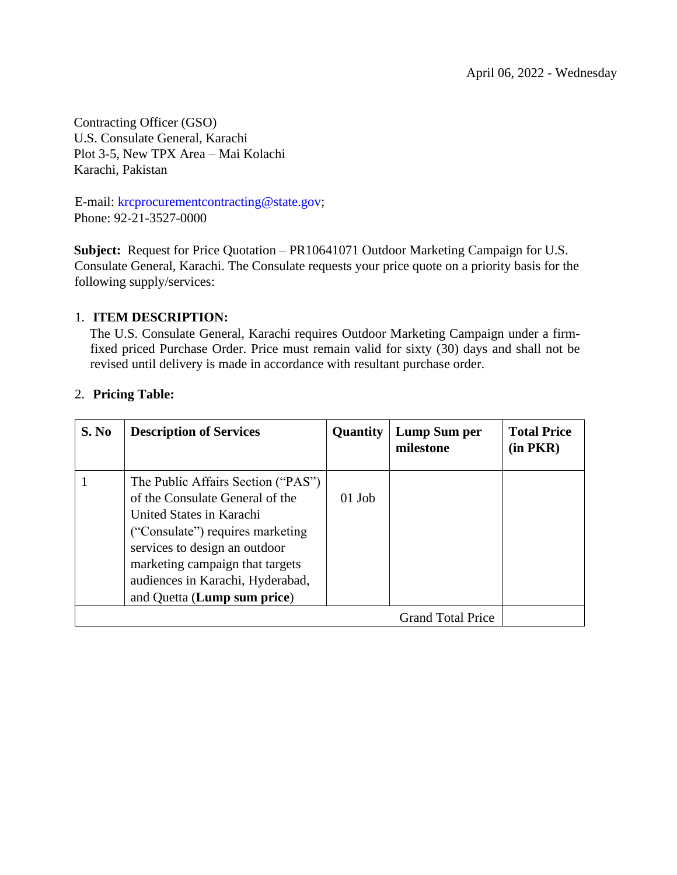Contracting Officer (GSO) U.S. Consulate General, Karachi Plot 3-5, New TPX Area – Mai Kolachi Karachi, Pakistan

E-mail: krcprocurementcontracting@state.gov; Phone: 92-21-3527-0000

**Subject:** Request for Price Quotation – PR10641071 Outdoor Marketing Campaign for U.S. Consulate General, Karachi. The Consulate requests your price quote on a priority basis for the following supply/services:

### 1. **ITEM DESCRIPTION:**

The U.S. Consulate General, Karachi requires Outdoor Marketing Campaign under a firmfixed priced Purchase Order. Price must remain valid for sixty (30) days and shall not be revised until delivery is made in accordance with resultant purchase order.

| S. No | <b>Description of Services</b>                                                                                                                                                                                                                                               | Quantity | Lump Sum per<br>milestone | <b>Total Price</b><br>$(in$ $PKR)$ |
|-------|------------------------------------------------------------------------------------------------------------------------------------------------------------------------------------------------------------------------------------------------------------------------------|----------|---------------------------|------------------------------------|
|       | The Public Affairs Section ("PAS")<br>of the Consulate General of the<br>United States in Karachi<br>("Consulate") requires marketing<br>services to design an outdoor<br>marketing campaign that targets<br>audiences in Karachi, Hyderabad,<br>and Quetta (Lump sum price) | $01$ Job |                           |                                    |
|       |                                                                                                                                                                                                                                                                              |          | <b>Grand Total Price</b>  |                                    |

### 2. **Pricing Table:**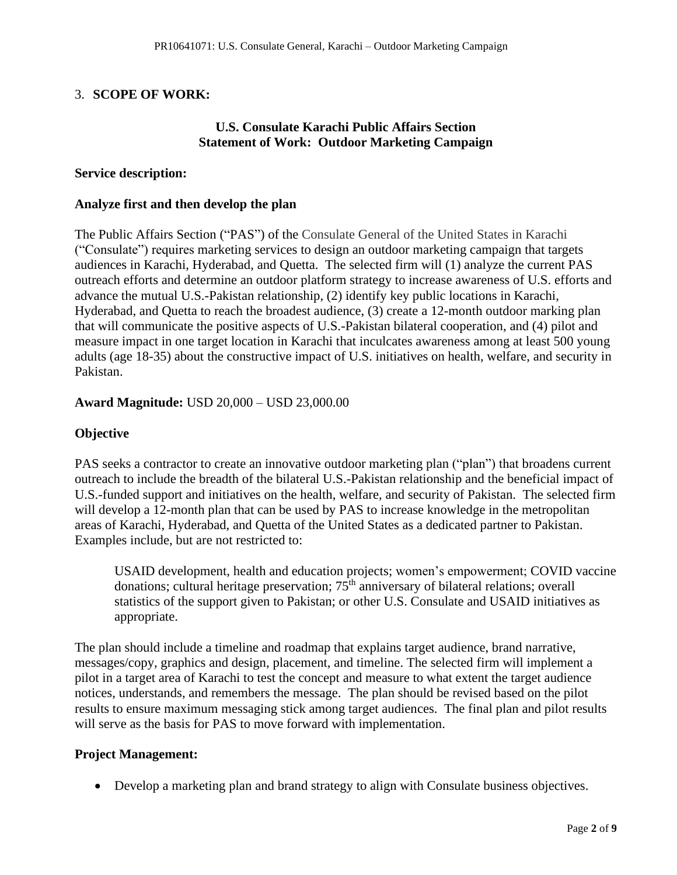### 3. **SCOPE OF WORK:**

### **U.S. Consulate Karachi Public Affairs Section Statement of Work: Outdoor Marketing Campaign**

#### **Service description:**

#### **Analyze first and then develop the plan**

The Public Affairs Section ("PAS") of the Consulate General of the United States in Karachi ("Consulate") requires marketing services to design an outdoor marketing campaign that targets audiences in Karachi, Hyderabad, and Quetta. The selected firm will (1) analyze the current PAS outreach efforts and determine an outdoor platform strategy to increase awareness of U.S. efforts and advance the mutual U.S.-Pakistan relationship, (2) identify key public locations in Karachi, Hyderabad, and Quetta to reach the broadest audience, (3) create a 12-month outdoor marking plan that will communicate the positive aspects of U.S.-Pakistan bilateral cooperation, and (4) pilot and measure impact in one target location in Karachi that inculcates awareness among at least 500 young adults (age 18-35) about the constructive impact of U.S. initiatives on health, welfare, and security in Pakistan.

#### **Award Magnitude:** USD 20,000 – USD 23,000.00

#### **Objective**

PAS seeks a contractor to create an innovative outdoor marketing plan ("plan") that broadens current outreach to include the breadth of the bilateral U.S.-Pakistan relationship and the beneficial impact of U.S.-funded support and initiatives on the health, welfare, and security of Pakistan. The selected firm will develop a 12-month plan that can be used by PAS to increase knowledge in the metropolitan areas of Karachi, Hyderabad, and Quetta of the United States as a dedicated partner to Pakistan. Examples include, but are not restricted to:

USAID development, health and education projects; women's empowerment; COVID vaccine donations; cultural heritage preservation;  $75<sup>th</sup>$  anniversary of bilateral relations; overall statistics of the support given to Pakistan; or other U.S. Consulate and USAID initiatives as appropriate.

The plan should include a timeline and roadmap that explains target audience, brand narrative, messages/copy, graphics and design, placement, and timeline. The selected firm will implement a pilot in a target area of Karachi to test the concept and measure to what extent the target audience notices, understands, and remembers the message. The plan should be revised based on the pilot results to ensure maximum messaging stick among target audiences. The final plan and pilot results will serve as the basis for PAS to move forward with implementation.

#### **Project Management:**

• Develop a marketing plan and brand strategy to align with Consulate business objectives.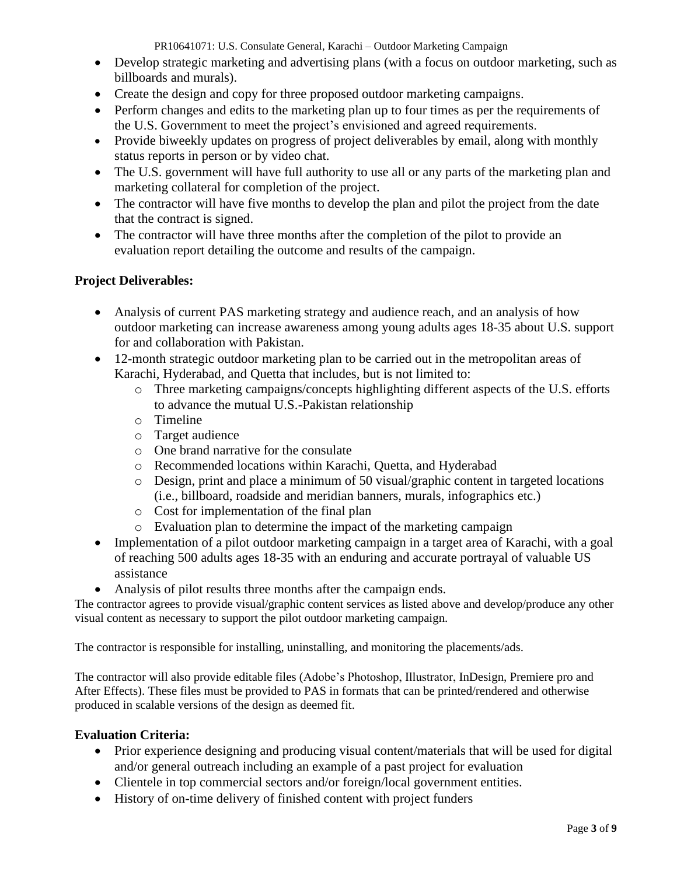PR10641071: U.S. Consulate General, Karachi – Outdoor Marketing Campaign

- Develop strategic marketing and advertising plans (with a focus on outdoor marketing, such as billboards and murals).
- Create the design and copy for three proposed outdoor marketing campaigns.
- Perform changes and edits to the marketing plan up to four times as per the requirements of the U.S. Government to meet the project's envisioned and agreed requirements.
- Provide biweekly updates on progress of project deliverables by email, along with monthly status reports in person or by video chat.
- The U.S. government will have full authority to use all or any parts of the marketing plan and marketing collateral for completion of the project.
- The contractor will have five months to develop the plan and pilot the project from the date that the contract is signed.
- The contractor will have three months after the completion of the pilot to provide an evaluation report detailing the outcome and results of the campaign.

### **Project Deliverables:**

- Analysis of current PAS marketing strategy and audience reach, and an analysis of how outdoor marketing can increase awareness among young adults ages 18-35 about U.S. support for and collaboration with Pakistan.
- 12-month strategic outdoor marketing plan to be carried out in the metropolitan areas of Karachi, Hyderabad, and Quetta that includes, but is not limited to:
	- o Three marketing campaigns/concepts highlighting different aspects of the U.S. efforts to advance the mutual U.S.-Pakistan relationship
	- o Timeline
	- o Target audience
	- o One brand narrative for the consulate
	- o Recommended locations within Karachi, Quetta, and Hyderabad
	- o Design, print and place a minimum of 50 visual/graphic content in targeted locations (i.e., billboard, roadside and meridian banners, murals, infographics etc.)
	- o Cost for implementation of the final plan
	- o Evaluation plan to determine the impact of the marketing campaign
- Implementation of a pilot outdoor marketing campaign in a target area of Karachi, with a goal of reaching 500 adults ages 18-35 with an enduring and accurate portrayal of valuable US assistance
- Analysis of pilot results three months after the campaign ends.

The contractor agrees to provide visual/graphic content services as listed above and develop/produce any other visual content as necessary to support the pilot outdoor marketing campaign.

The contractor is responsible for installing, uninstalling, and monitoring the placements/ads.

The contractor will also provide editable files (Adobe's Photoshop, Illustrator, InDesign, Premiere pro and After Effects). These files must be provided to PAS in formats that can be printed/rendered and otherwise produced in scalable versions of the design as deemed fit.

### **Evaluation Criteria:**

- Prior experience designing and producing visual content/materials that will be used for digital and/or general outreach including an example of a past project for evaluation
- Clientele in top commercial sectors and/or foreign/local government entities.
- History of on-time delivery of finished content with project funders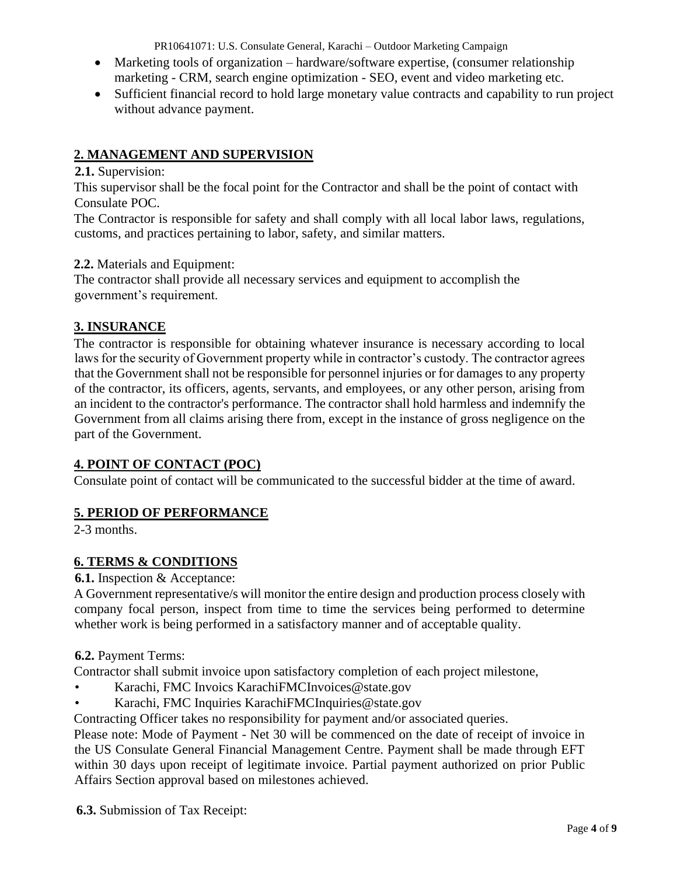PR10641071: U.S. Consulate General, Karachi – Outdoor Marketing Campaign

- Marketing tools of organization hardware/software expertise, (consumer relationship marketing - CRM, search engine optimization - SEO, event and video marketing etc.
- Sufficient financial record to hold large monetary value contracts and capability to run project without advance payment.

# **2. MANAGEMENT AND SUPERVISION**

### **2.1.** Supervision:

This supervisor shall be the focal point for the Contractor and shall be the point of contact with Consulate POC.

The Contractor is responsible for safety and shall comply with all local labor laws, regulations, customs, and practices pertaining to labor, safety, and similar matters.

### **2.2.** Materials and Equipment:

The contractor shall provide all necessary services and equipment to accomplish the government's requirement.

# **3. INSURANCE**

The contractor is responsible for obtaining whatever insurance is necessary according to local laws for the security of Government property while in contractor's custody. The contractor agrees that the Government shall not be responsible for personnel injuries or for damages to any property of the contractor, its officers, agents, servants, and employees, or any other person, arising from an incident to the contractor's performance. The contractor shall hold harmless and indemnify the Government from all claims arising there from, except in the instance of gross negligence on the part of the Government.

### **4. POINT OF CONTACT (POC)**

Consulate point of contact will be communicated to the successful bidder at the time of award.

# **5. PERIOD OF PERFORMANCE**

2-3 months.

# **6. TERMS & CONDITIONS**

### **6.1.** Inspection & Acceptance:

A Government representative/s will monitor the entire design and production process closely with company focal person, inspect from time to time the services being performed to determine whether work is being performed in a satisfactory manner and of acceptable quality.

# **6.2.** Payment Terms:

Contractor shall submit invoice upon satisfactory completion of each project milestone,

- Karachi, FMC Invoics KarachiFMCInvoices@state.gov
- Karachi, FMC Inquiries KarachiFMCInquiries@state.gov

Contracting Officer takes no responsibility for payment and/or associated queries.

Please note: Mode of Payment - Net 30 will be commenced on the date of receipt of invoice in the US Consulate General Financial Management Centre. Payment shall be made through EFT within 30 days upon receipt of legitimate invoice. Partial payment authorized on prior Public Affairs Section approval based on milestones achieved.

**6.3.** Submission of Tax Receipt: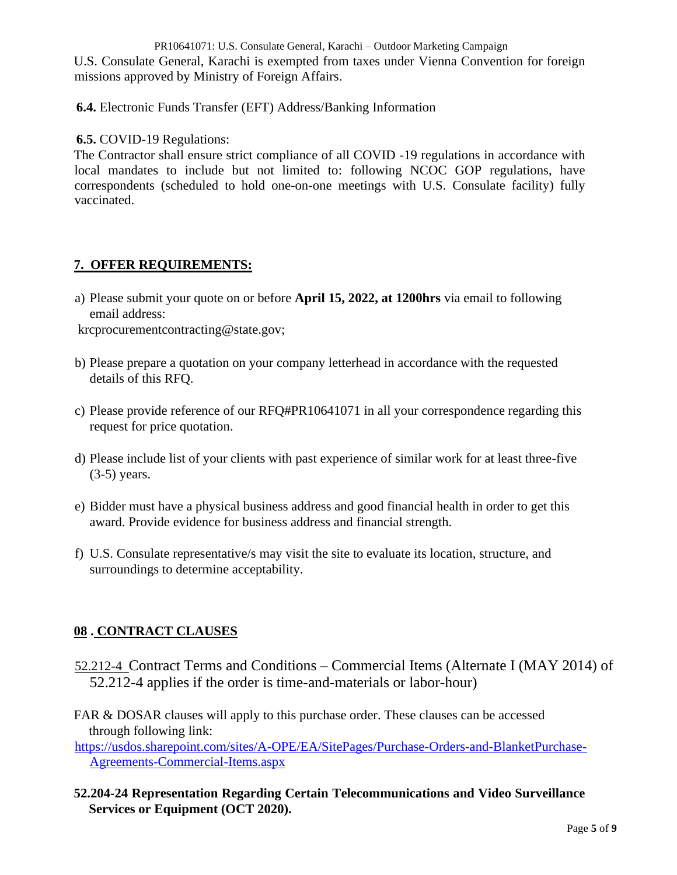PR10641071: U.S. Consulate General, Karachi – Outdoor Marketing Campaign U.S. Consulate General, Karachi is exempted from taxes under Vienna Convention for foreign missions approved by Ministry of Foreign Affairs.

**6.4.** Electronic Funds Transfer (EFT) Address/Banking Information

### **6.5.** COVID-19 Regulations:

The Contractor shall ensure strict compliance of all COVID -19 regulations in accordance with local mandates to include but not limited to: following NCOC GOP regulations, have correspondents (scheduled to hold one-on-one meetings with U.S. Consulate facility) fully vaccinated.

### **7. OFFER REQUIREMENTS:**

a) Please submit your quote on or before **April 15, 2022, at 1200hrs** via email to following email address:

krcprocurementcontracting@state.gov;

- b) Please prepare a quotation on your company letterhead in accordance with the requested details of this RFQ.
- c) Please provide reference of our RFQ#PR10641071 in all your correspondence regarding this request for price quotation.
- d) Please include list of your clients with past experience of similar work for at least three-five (3-5) years.
- e) Bidder must have a physical business address and good financial health in order to get this award. Provide evidence for business address and financial strength.
- f) U.S. Consulate representative/s may visit the site to evaluate its location, structure, and surroundings to determine acceptability.

# **08 . CONTRACT CLAUSES**

- 52.212-4 Contract Terms and Conditions Commercial Items (Alternate I (MAY 2014) of 52.212-4 applies if the order is time-and-materials or labor-hour)
- FAR & DOSAR clauses will apply to this purchase order. These clauses can be accessed through following link:

[https://usdos.sharepoint.com/sites/A-OPE/EA/SitePages/Purchase-Orders-and-BlanketPurchase-](https://usdos.sharepoint.com/sites/A-OPE/EA/SitePages/Purchase-Orders-and-Blanket-Purchase-Agreements-Commercial-Items.aspx)[Agreements-Commercial-Items.aspx](https://usdos.sharepoint.com/sites/A-OPE/EA/SitePages/Purchase-Orders-and-Blanket-Purchase-Agreements-Commercial-Items.aspx)

**52.204-24 Representation Regarding Certain Telecommunications and Video Surveillance Services or Equipment (OCT 2020).**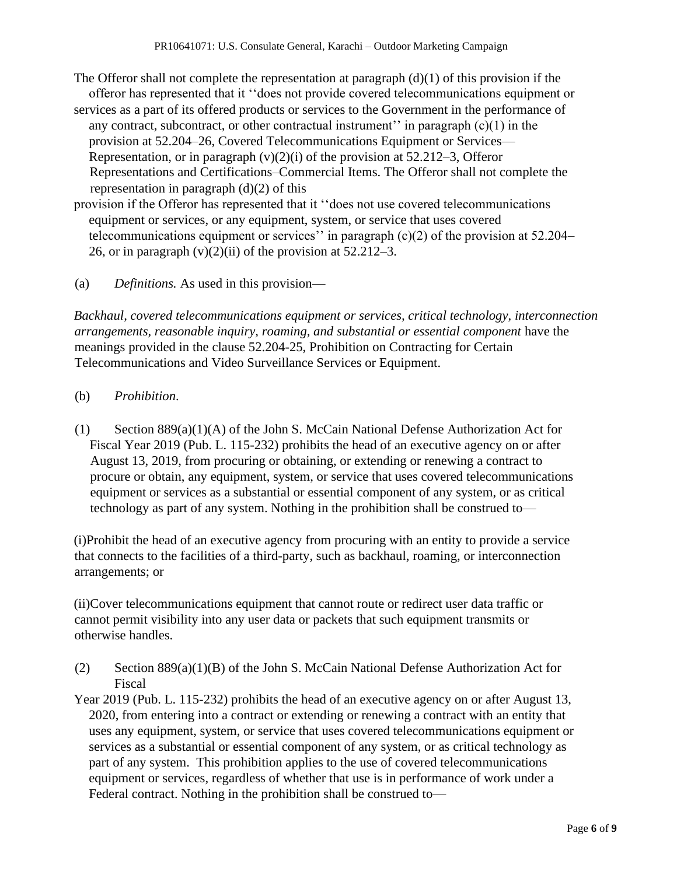- The Offeror shall not complete the representation at paragraph  $(d)(1)$  of this provision if the offeror has represented that it ''does not provide covered telecommunications equipment or
- services as a part of its offered products or services to the Government in the performance of any contract, subcontract, or other contractual instrument'' in paragraph  $(c)(1)$  in the provision at 52.204–26, Covered Telecommunications Equipment or Services— Representation, or in paragraph  $(v)(2)(i)$  of the provision at 52.212–3, Offeror Representations and Certifications–Commercial Items. The Offeror shall not complete the representation in paragraph (d)(2) of this
- provision if the Offeror has represented that it ''does not use covered telecommunications equipment or services, or any equipment, system, or service that uses covered telecommunications equipment or services'' in paragraph  $(c)(2)$  of the provision at 52.204– 26, or in paragraph  $(v)(2)(ii)$  of the provision at 52.212–3.
- (a) *Definitions.* As used in this provision—

*Backhaul, covered telecommunications equipment or services, critical technology, interconnection arrangements, reasonable inquiry, roaming, and substantial or essential component* have the meanings provided in the clause 52.204-25, Prohibition on Contracting for Certain Telecommunications and Video Surveillance Services or Equipment.

- (b) *Prohibition*.
- (1) Section 889(a)(1)(A) of the John S. McCain National Defense Authorization Act for Fiscal Year 2019 (Pub. L. 115-232) prohibits the head of an executive agency on or after August 13, 2019, from procuring or obtaining, or extending or renewing a contract to procure or obtain, any equipment, system, or service that uses covered telecommunications equipment or services as a substantial or essential component of any system, or as critical technology as part of any system. Nothing in the prohibition shall be construed to—

(i)Prohibit the head of an executive agency from procuring with an entity to provide a service that connects to the facilities of a third-party, such as backhaul, roaming, or interconnection arrangements; or

(ii)Cover telecommunications equipment that cannot route or redirect user data traffic or cannot permit visibility into any user data or packets that such equipment transmits or otherwise handles.

- (2) Section 889(a)(1)(B) of the John S. McCain National Defense Authorization Act for Fiscal
- Year 2019 (Pub. L. 115-232) prohibits the head of an executive agency on or after August 13, 2020, from entering into a contract or extending or renewing a contract with an entity that uses any equipment, system, or service that uses covered telecommunications equipment or services as a substantial or essential component of any system, or as critical technology as part of any system. This prohibition applies to the use of covered telecommunications equipment or services, regardless of whether that use is in performance of work under a Federal contract. Nothing in the prohibition shall be construed to—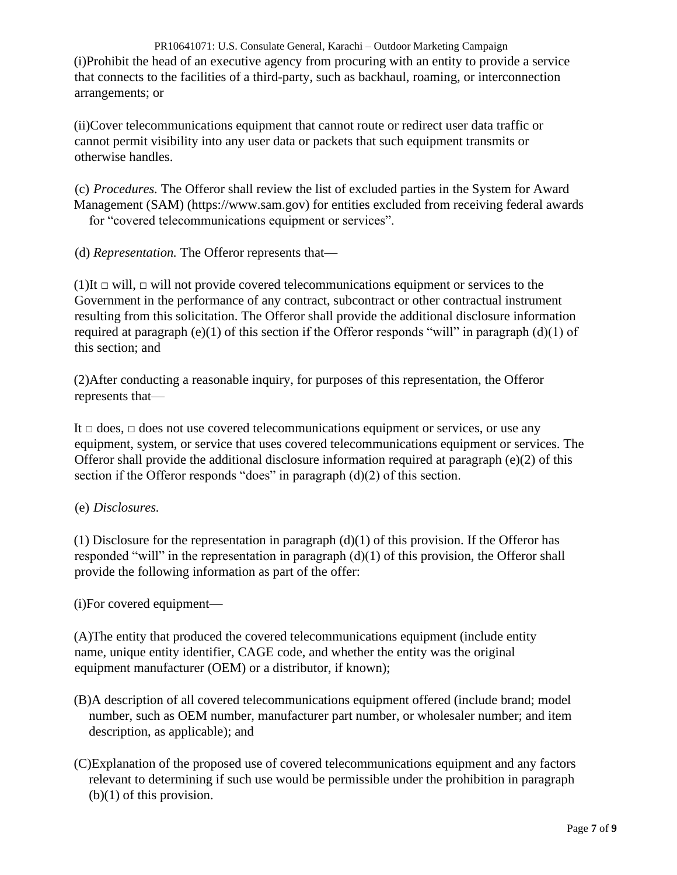PR10641071: U.S. Consulate General, Karachi – Outdoor Marketing Campaign (i)Prohibit the head of an executive agency from procuring with an entity to provide a service that connects to the facilities of a third-party, such as backhaul, roaming, or interconnection arrangements; or

(ii)Cover telecommunications equipment that cannot route or redirect user data traffic or cannot permit visibility into any user data or packets that such equipment transmits or otherwise handles.

(c) *Procedures.* The Offeror shall review the list of excluded parties in the System for Award Management (SAM) (https://www.sam.gov) for entities excluded from receiving federal awards for "covered telecommunications equipment or services".

(d) *Representation.* The Offeror represents that—

(1)It *□* will, *□* will not provide covered telecommunications equipment or services to the Government in the performance of any contract, subcontract or other contractual instrument resulting from this solicitation. The Offeror shall provide the additional disclosure information required at paragraph (e)(1) of this section if the Offeror responds "will" in paragraph  $(d)(1)$  of this section; and

(2)After conducting a reasonable inquiry, for purposes of this representation, the Offeror represents that—

It *□* does, *□* does not use covered telecommunications equipment or services, or use any equipment, system, or service that uses covered telecommunications equipment or services. The Offeror shall provide the additional disclosure information required at paragraph  $(e)(2)$  of this section if the Offeror responds "does" in paragraph (d)(2) of this section.

### (e) *Disclosures.*

(1) Disclosure for the representation in paragraph  $(d)(1)$  of this provision. If the Offeror has responded "will" in the representation in paragraph (d)(1) of this provision, the Offeror shall provide the following information as part of the offer:

(i)For covered equipment—

(A)The entity that produced the covered telecommunications equipment (include entity name, unique entity identifier, CAGE code, and whether the entity was the original equipment manufacturer (OEM) or a distributor, if known);

- (B)A description of all covered telecommunications equipment offered (include brand; model number, such as OEM number, manufacturer part number, or wholesaler number; and item description, as applicable); and
- (C)Explanation of the proposed use of covered telecommunications equipment and any factors relevant to determining if such use would be permissible under the prohibition in paragraph (b)(1) of this provision.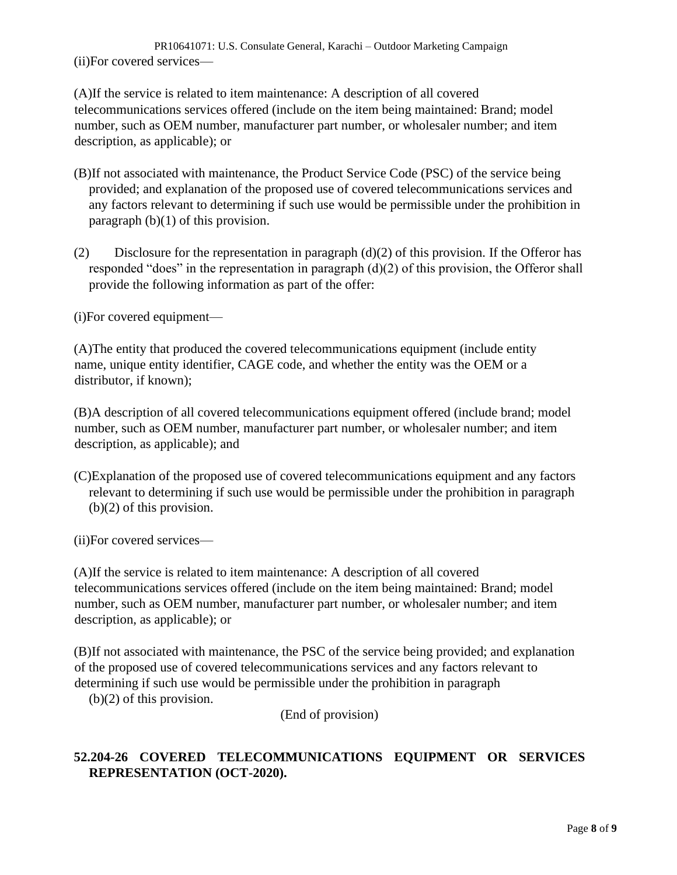PR10641071: U.S. Consulate General, Karachi – Outdoor Marketing Campaign (ii)For covered services—

(A)If the service is related to item maintenance: A description of all covered telecommunications services offered (include on the item being maintained: Brand; model number, such as OEM number, manufacturer part number, or wholesaler number; and item description, as applicable); or

- (B)If not associated with maintenance, the Product Service Code (PSC) of the service being provided; and explanation of the proposed use of covered telecommunications services and any factors relevant to determining if such use would be permissible under the prohibition in paragraph (b)(1) of this provision.
- (2) Disclosure for the representation in paragraph  $(d)(2)$  of this provision. If the Offeror has responded "does" in the representation in paragraph (d)(2) of this provision, the Offeror shall provide the following information as part of the offer:

(i)For covered equipment—

(A)The entity that produced the covered telecommunications equipment (include entity name, unique entity identifier, CAGE code, and whether the entity was the OEM or a distributor, if known);

(B)A description of all covered telecommunications equipment offered (include brand; model number, such as OEM number, manufacturer part number, or wholesaler number; and item description, as applicable); and

(C)Explanation of the proposed use of covered telecommunications equipment and any factors relevant to determining if such use would be permissible under the prohibition in paragraph (b)(2) of this provision.

(ii)For covered services—

(A)If the service is related to item maintenance: A description of all covered telecommunications services offered (include on the item being maintained: Brand; model number, such as OEM number, manufacturer part number, or wholesaler number; and item description, as applicable); or

(B)If not associated with maintenance, the PSC of the service being provided; and explanation of the proposed use of covered telecommunications services and any factors relevant to determining if such use would be permissible under the prohibition in paragraph

(b)(2) of this provision.

(End of provision)

# **52.204-26 COVERED TELECOMMUNICATIONS EQUIPMENT OR SERVICES REPRESENTATION (OCT-2020).**